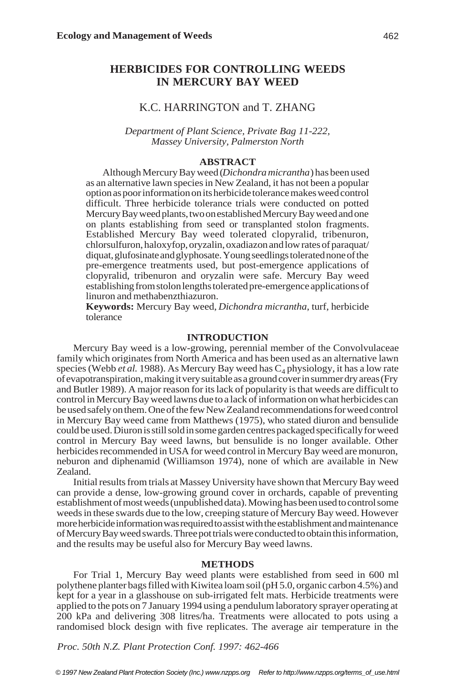# **HERBICIDES FOR CONTROLLING WEEDS IN MERCURY BAY WEED**

# K.C. HARRINGTON and T. ZHANG

*Department of Plant Science, Private Bag 11-222, Massey University, Palmerston North*

#### **ABSTRACT**

Although Mercury Bay weed (*Dichondra micrantha*) has been used as an alternative lawn species in New Zealand, it has not been a popular option as poor information on its herbicide tolerance makes weed control difficult. Three herbicide tolerance trials were conducted on potted Mercury Bay weed plants, two on established Mercury Bay weed and one on plants establishing from seed or transplanted stolon fragments. Established Mercury Bay weed tolerated clopyralid, tribenuron, chlorsulfuron, haloxyfop, oryzalin, oxadiazon and low rates of paraquat/ diquat, glufosinate and glyphosate. Young seedlings tolerated none of the pre-emergence treatments used, but post-emergence applications of clopyralid, tribenuron and oryzalin were safe. Mercury Bay weed establishing from stolon lengths tolerated pre-emergence applications of linuron and methabenzthiazuron.

**Keywords:** Mercury Bay weed, *Dichondra micrantha*, turf, herbicide tolerance

### **INTRODUCTION**

Mercury Bay weed is a low-growing, perennial member of the Convolvulaceae family which originates from North America and has been used as an alternative lawn species (Webb *et al.* 1988). As Mercury Bay weed has  $C_4$  physiology, it has a low rate of evapotranspiration, making it very suitable as a ground cover in summer dry areas (Fry and Butler 1989). A major reason for its lack of popularity is that weeds are difficult to control in Mercury Bay weed lawns due to a lack of information on what herbicides can be used safely on them. One of the few New Zealand recommendations for weed control in Mercury Bay weed came from Matthews (1975), who stated diuron and bensulide could be used. Diuron is still sold in some garden centres packaged specifically for weed control in Mercury Bay weed lawns, but bensulide is no longer available. Other herbicides recommended in USA for weed control in Mercury Bay weed are monuron, neburon and diphenamid (Williamson 1974), none of which are available in New Zealand.

Initial results from trials at Massey University have shown that Mercury Bay weed can provide a dense, low-growing ground cover in orchards, capable of preventing establishment of most weeds (unpublished data). Mowing has been used to control some weeds in these swards due to the low, creeping stature of Mercury Bay weed. However more herbicide information was required to assist with the establishment and maintenance of Mercury Bay weed swards. Three pot trials were conducted to obtain this information, and the results may be useful also for Mercury Bay weed lawns.

### **METHODS**

For Trial 1, Mercury Bay weed plants were established from seed in 600 ml polythene planter bags filled with Kiwitea loam soil (pH 5.0, organic carbon 4.5%) and kept for a year in a glasshouse on sub-irrigated felt mats. Herbicide treatments were applied to the pots on 7 January 1994 using a pendulum laboratory sprayer operating at 200 kPa and delivering 308 litres/ha. Treatments were allocated to pots using a randomised block design with five replicates. The average air temperature in the

*Proc. 50th N.Z. Plant Protection Conf. 1997: 462-466*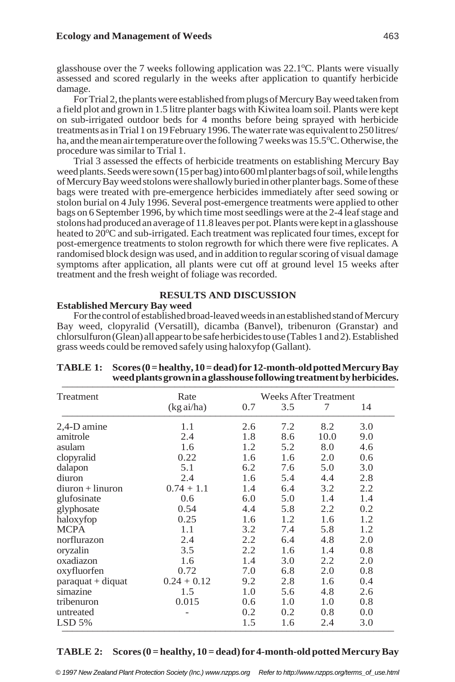glasshouse over the 7 weeks following application was 22.1°C. Plants were visually assessed and scored regularly in the weeks after application to quantify herbicide damage.

For Trial 2, the plants were established from plugs of Mercury Bay weed taken from a field plot and grown in 1.5 litre planter bags with Kiwitea loam soil. Plants were kept on sub-irrigated outdoor beds for 4 months before being sprayed with herbicide treatments as in Trial 1 on 19 February 1996. The water rate was equivalent to 250 litres/ ha, and the mean air temperature over the following 7 weeks was 15.5°C. Otherwise, the procedure was similar to Trial 1.

Trial 3 assessed the effects of herbicide treatments on establishing Mercury Bay weed plants. Seeds were sown (15 per bag) into 600 ml planter bags of soil, while lengths of Mercury Bay weed stolons were shallowly buried in other planter bags. Some of these bags were treated with pre-emergence herbicides immediately after seed sowing or stolon burial on 4 July 1996. Several post-emergence treatments were applied to other bags on 6 September 1996, by which time most seedlings were at the 2-4 leaf stage and stolons had produced an average of 11.8 leaves per pot. Plants were kept in a glasshouse heated to 20°C and sub-irrigated. Each treatment was replicated four times, except for post-emergence treatments to stolon regrowth for which there were five replicates. A randomised block design was used, and in addition to regular scoring of visual damage symptoms after application, all plants were cut off at ground level 15 weeks after treatment and the fresh weight of foliage was recorded.

# **RESULTS AND DISCUSSION**

### **Established Mercury Bay weed**

For the control of established broad-leaved weeds in an established stand of Mercury Bay weed, clopyralid (Versatill), dicamba (Banvel), tribenuron (Granstar) and chlorsulfuron (Glean) all appear to be safe herbicides to use (Tables 1 and 2). Established grass weeds could be removed safely using haloxyfop (Gallant).

| Treatment           | Rate          | <b>Weeks After Treatment</b> |     |      |     |
|---------------------|---------------|------------------------------|-----|------|-----|
|                     | (kgai/ha)     | 0.7                          | 3.5 | 7    | 14  |
| 2,4-D amine         | 1.1           | 2.6                          | 7.2 | 8.2  | 3.0 |
| amitrole            | 2.4           | 1.8                          | 8.6 | 10.0 | 9.0 |
| asulam              | 1.6           | 1.2                          | 5.2 | 8.0  | 4.6 |
| clopyralid          | 0.22          | 1.6                          | 1.6 | 2.0  | 0.6 |
| dalapon             | 5.1           | 6.2                          | 7.6 | 5.0  | 3.0 |
| diuron              | 2.4           | 1.6                          | 5.4 | 4.4  | 2.8 |
| $diuron + linuron$  | $0.74 + 1.1$  | 1.4                          | 6.4 | 3.2  | 2.2 |
| glufosinate         | 0.6           | 6.0                          | 5.0 | 1.4  | 1.4 |
| glyphosate          | 0.54          | 4.4                          | 5.8 | 2.2  | 0.2 |
| haloxyfop           | 0.25          | 1.6                          | 1.2 | 1.6  | 1.2 |
| <b>MCPA</b>         | 1.1           | 3.2                          | 7.4 | 5.8  | 1.2 |
| norflurazon         | 2.4           | 2.2                          | 6.4 | 4.8  | 2.0 |
| oryzalin            | 3.5           | 2.2                          | 1.6 | 1.4  | 0.8 |
| oxadiazon           | 1.6           | 1.4                          | 3.0 | 2.2  | 2.0 |
| oxyfluorfen         | 0.72          | 7.0                          | 6.8 | 2.0  | 0.8 |
| $paraquat + diquat$ | $0.24 + 0.12$ | 9.2                          | 2.8 | 1.6  | 0.4 |
| simazine            | 1.5           | 1.0                          | 5.6 | 4.8  | 2.6 |
| tribenuron          | 0.015         | 0.6                          | 1.0 | 1.0  | 0.8 |
| untreated           |               | 0.2                          | 0.2 | 0.8  | 0.0 |
| $LSD$ 5%            |               | 1.5                          | 1.6 | 2.4  | 3.0 |

### **TABLE 1: Scores (0 = healthy, 10 = dead) for 12-month-old potted Mercury Bay** weed plants grown in a glasshouse following treatment by herbicides.

## **TABLE 2: Scores (0 = healthy, 10 = dead) for 4-month-old potted Mercury Bay**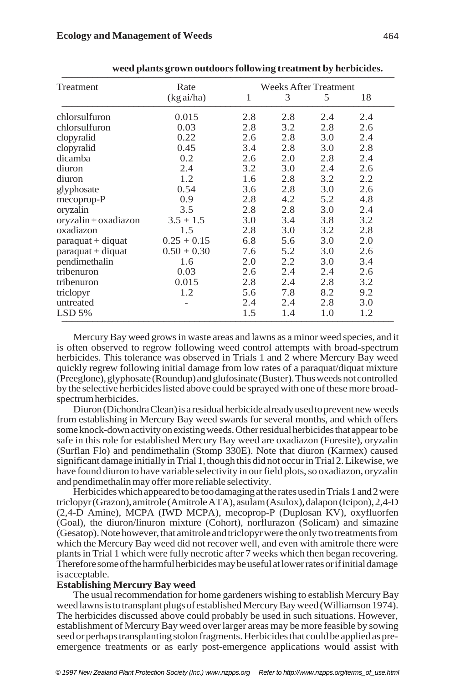| Treatment                   | Rate                 |     |     | <b>Weeks After Treatment</b> |     |  |  |  |
|-----------------------------|----------------------|-----|-----|------------------------------|-----|--|--|--|
|                             | $(kg \text{ ai/ha})$ | 1   | 3   | 5                            | 18  |  |  |  |
| chlorsulfuron               | 0.015                | 2.8 | 2.8 | 2.4                          | 2.4 |  |  |  |
| chlorsulfuron               | 0.03                 | 2.8 | 3.2 | 2.8                          | 2.6 |  |  |  |
| clopyralid                  | 0.22                 | 2.6 | 2.8 | 3.0                          | 2.4 |  |  |  |
| clopyralid                  | 0.45                 | 3.4 | 2.8 | 3.0                          | 2.8 |  |  |  |
| dicamba                     | 0.2                  | 2.6 | 2.0 | 2.8                          | 2.4 |  |  |  |
| diuron                      | 2.4                  | 3.2 | 3.0 | 2.4                          | 2.6 |  |  |  |
| diuron                      | 1.2                  | 1.6 | 2.8 | 3.2                          | 2.2 |  |  |  |
| glyphosate                  | 0.54                 | 3.6 | 2.8 | 3.0                          | 2.6 |  |  |  |
| mecoprop-P                  | 0.9                  | 2.8 | 4.2 | 5.2                          | 4.8 |  |  |  |
| oryzalin                    | 3.5                  | 2.8 | 2.8 | 3.0                          | 2.4 |  |  |  |
| oryzalin+oxadiazon          | $3.5 + 1.5$          | 3.0 | 3.4 | 3.8                          | 3.2 |  |  |  |
| oxadiazon                   | 1.5                  | 2.8 | 3.0 | 3.2                          | 2.8 |  |  |  |
| $\text{para}$ quat + diquat | $0.25 + 0.15$        | 6.8 | 5.6 | 3.0                          | 2.0 |  |  |  |
| $\text{para}$ quat + diquat | $0.50 + 0.30$        | 7.6 | 5.2 | 3.0                          | 2.6 |  |  |  |
| pendimethalin               | 1.6                  | 2.0 | 2.2 | 3.0                          | 3.4 |  |  |  |
| tribenuron                  | 0.03                 | 2.6 | 2.4 | 2.4                          | 2.6 |  |  |  |
| tribenuron                  | 0.015                | 2.8 | 2.4 | 2.8                          | 3.2 |  |  |  |
| triclopyr                   | 1.2                  | 5.6 | 7.8 | 8.2                          | 9.2 |  |  |  |
| untreated                   |                      | 2.4 | 2.4 | 2.8                          | 3.0 |  |  |  |
| $LSD$ 5%                    |                      | 1.5 | 1.4 | 1.0                          | 1.2 |  |  |  |

weed plants grown outdoors following treatment by herbicides.

Mercury Bay weed grows in waste areas and lawns as a minor weed species, and it is often observed to regrow following weed control attempts with broad-spectrum herbicides. This tolerance was observed in Trials 1 and 2 where Mercury Bay weed quickly regrew following initial damage from low rates of a paraquat/diquat mixture (Preeglone), glyphosate (Roundup) and glufosinate (Buster). Thus weeds not controlled by the selective herbicides listed above could be sprayed with one of these more broadspectrum herbicides.

Diuron (Dichondra Clean) is a residual herbicide already used to prevent new weeds from establishing in Mercury Bay weed swards for several months, and which offers some knock-down activity on existing weeds. Other residual herbicides that appear to be safe in this role for established Mercury Bay weed are oxadiazon (Foresite), oryzalin (Surflan Flo) and pendimethalin (Stomp 330E). Note that diuron (Karmex) caused significant damage initially in Trial 1, though this did not occur in Trial 2. Likewise, we have found diuron to have variable selectivity in our field plots, so oxadiazon, oryzalin and pendimethalin may offer more reliable selectivity.

Herbicides which appeared to be too damaging at the rates used in Trials 1 and 2 were triclopyr (Grazon), amitrole (Amitrole ATA), asulam (Asulox), dalapon (Icipon), 2,4-D (2,4-D Amine), MCPA (IWD MCPA), mecoprop-P (Duplosan KV), oxyfluorfen (Goal), the diuron/linuron mixture (Cohort), norflurazon (Solicam) and simazine (Gesatop). Note however, that amitrole and triclopyr were the only two treatments from which the Mercury Bay weed did not recover well, and even with amitrole there were plants in Trial 1 which were fully necrotic after 7 weeks which then began recovering. Therefore some of the harmful herbicides may be useful at lower rates or if initial damage is acceptable.

### **Establishing Mercury Bay weed**

The usual recommendation for home gardeners wishing to establish Mercury Bay weed lawns is to transplant plugs of established Mercury Bay weed (Williamson 1974). The herbicides discussed above could probably be used in such situations. However, establishment of Mercury Bay weed over larger areas may be more feasible by sowing seed or perhaps transplanting stolon fragments. Herbicides that could be applied as preemergence treatments or as early post-emergence applications would assist with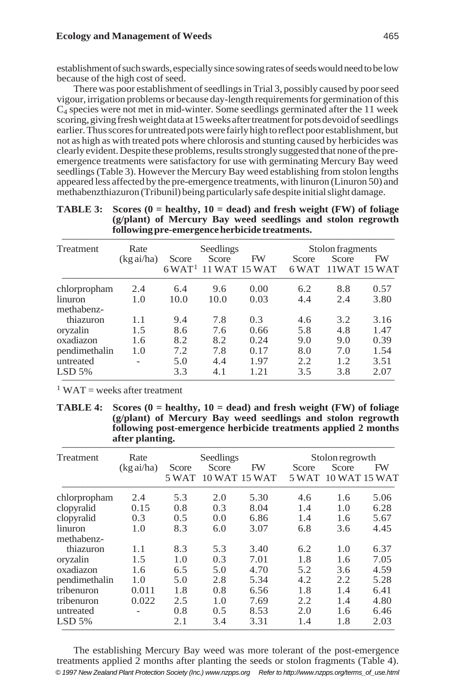establishment of such swards, especially since sowing rates of seeds would need to be low because of the high cost of seed.

There was poor establishment of seedlings in Trial 3, possibly caused by poor seed vigour, irrigation problems or because day-length requirements for germination of this  $C_4$  species were not met in mid-winter. Some seedlings germinated after the 11 week scoring, giving fresh weight data at 15 weeks after treatment for pots devoid of seedlings earlier. Thus scores for untreated pots were fairly high to reflect poor establishment, but not as high as with treated pots where chlorosis and stunting caused by herbicides was clearly evident. Despite these problems, results strongly suggested that none of the preemergence treatments were satisfactory for use with germinating Mercury Bay weed seedlings (Table 3). However the Mercury Bay weed establishing from stolon lengths appeared less affected by the pre-emergence treatments, with linuron (Linuron 50) and methabenzthiazuron (Tribunil) being particularly safe despite initial slight damage.

| following pre-emergence herbicide treatments. |           |           |       |                                          |                  |       |                    |  |
|-----------------------------------------------|-----------|-----------|-------|------------------------------------------|------------------|-------|--------------------|--|
| Treatment                                     | Rate      | Seedlings |       |                                          | Stolon fragments |       |                    |  |
|                                               | (kgai/ha) | Score     | Score | FW<br>$6$ WAT <sup>1</sup> 11 WAT 15 WAT | Score<br>6 WAT   | Score | FW<br>11WAT 15 WAT |  |
| chlorpropham                                  | 2.4       | 6.4       | 9.6   | 0.00                                     | 6.2              | 8.8   | 0.57               |  |
| linuron<br>methabenz-                         | 1.0       | 10.0      | 10.0  | 0.03                                     | 4.4              | 2.4   | 3.80               |  |
| thiazuron                                     | 1.1       | 9.4       | 7.8   | 0.3                                      | 4.6              | 3.2   | 3.16               |  |
| oryzalin                                      | 1.5       | 8.6       | 7.6   | 0.66                                     | 5.8              | 4.8   | 1.47               |  |
| oxadiazon                                     | 1.6       | 8.2       | 8.2   | 0.24                                     | 9.0              | 9.0   | 0.39               |  |
| pendimethalin                                 | 1.0       | 7.2       | 7.8   | 0.17                                     | 8.0              | 7.0   | 1.54               |  |
| untreated                                     |           | 5.0       | 4.4   | 1.97                                     | 2.2              | 1.2   | 3.51               |  |
| $LSD$ 5%                                      |           | 3.3       | 4.1   | 1.21                                     | 3.5              | 3.8   | 2.07               |  |

| <b>TABLE 3:</b> Scores $(0 = \text{healthv}, 10 = \text{dead})$ and fresh weight $(FW)$ of foliage |  |  |  |  |  |  |  |
|----------------------------------------------------------------------------------------------------|--|--|--|--|--|--|--|
| (g/plant) of Mercury Bay weed seedlings and stolon regrowth                                        |  |  |  |  |  |  |  |
| following pre-emergence herbicide treatments.                                                      |  |  |  |  |  |  |  |

 $1$  WAT = weeks after treatment

**TABLE 4: Scores (0 = healthy, 10 = dead) and fresh weight (FW) of foliage (g/plant) of Mercury Bay weed seedlings and stolon regrowth following post-emergence herbicide treatments applied 2 months** after planting.

| Treatment             | Rate                 | Seedlings      |       |                     | Stolon regrowth |                        |      |
|-----------------------|----------------------|----------------|-------|---------------------|-----------------|------------------------|------|
|                       | $(kg \text{ ai/ha})$ | Score<br>5 WAT | Score | FW<br>10 WAT 15 WAT | Score<br>5 WAT  | Score<br>10 WAT 15 WAT | FW   |
| chlorpropham          | 2.4                  | 5.3            | 2.0   | 5.30                | 4.6             | 1.6                    | 5.06 |
| clopyralid            | 0.15                 | 0.8            | 0.3   | 8.04                | 1.4             | 1.0                    | 6.28 |
| clopyralid            | 0.3                  | 0.5            | 0.0   | 6.86                | 1.4             | 1.6                    | 5.67 |
| linuron<br>methabenz- | 1.0                  | 8.3            | 6.0   | 3.07                | 6.8             | 3.6                    | 4.45 |
| thiazuron             | 1.1                  | 8.3            | 5.3   | 3.40                | 6.2             | 1.0                    | 6.37 |
| oryzalin              | 1.5                  | 1.0            | 0.3   | 7.01                | 1.8             | 1.6                    | 7.05 |
| oxadiazon             | 1.6                  | 6.5            | 5.0   | 4.70                | 5.2             | 3.6                    | 4.59 |
| pendimethalin         | 1.0                  | 5.0            | 2.8   | 5.34                | 4.2             | 2.2                    | 5.28 |
| tribenuron            | 0.011                | 1.8            | 0.8   | 6.56                | 1.8             | 1.4                    | 6.41 |
| tribenuron            | 0.022                | 2.5            | 1.0   | 7.69                | 2.2             | 1.4                    | 4.80 |
| untreated             |                      | 0.8            | 0.5   | 8.53                | 2.0             | 1.6                    | 6.46 |
| $LSD$ 5%              |                      | 2.1            | 3.4   | 3.31                | 1.4             | 1.8                    | 2.03 |

The establishing Mercury Bay weed was more tolerant of the post-emergence treatments applied 2 months after planting the seeds or stolon fragments (Table 4). *© 1997 New Zealand Plant Protection Society (Inc.) www.nzpps.org Refer to http://www.nzpps.org/terms\_of\_use.html*